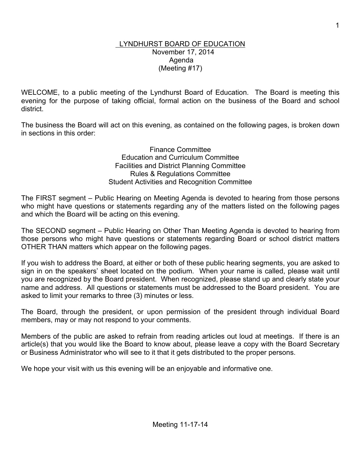### LYNDHURST BOARD OF EDUCATION November 17, 2014 Agenda (Meeting #17)

WELCOME, to a public meeting of the Lyndhurst Board of Education. The Board is meeting this evening for the purpose of taking official, formal action on the business of the Board and school district.

The business the Board will act on this evening, as contained on the following pages, is broken down in sections in this order:

> Finance Committee Education and Curriculum Committee Facilities and District Planning Committee Rules & Regulations Committee Student Activities and Recognition Committee

The FIRST segment – Public Hearing on Meeting Agenda is devoted to hearing from those persons who might have questions or statements regarding any of the matters listed on the following pages and which the Board will be acting on this evening.

The SECOND segment – Public Hearing on Other Than Meeting Agenda is devoted to hearing from those persons who might have questions or statements regarding Board or school district matters OTHER THAN matters which appear on the following pages.

If you wish to address the Board, at either or both of these public hearing segments, you are asked to sign in on the speakers' sheet located on the podium. When your name is called, please wait until you are recognized by the Board president. When recognized, please stand up and clearly state your name and address. All questions or statements must be addressed to the Board president. You are asked to limit your remarks to three (3) minutes or less.

The Board, through the president, or upon permission of the president through individual Board members, may or may not respond to your comments.

Members of the public are asked to refrain from reading articles out loud at meetings. If there is an article(s) that you would like the Board to know about, please leave a copy with the Board Secretary or Business Administrator who will see to it that it gets distributed to the proper persons.

We hope your visit with us this evening will be an enjoyable and informative one.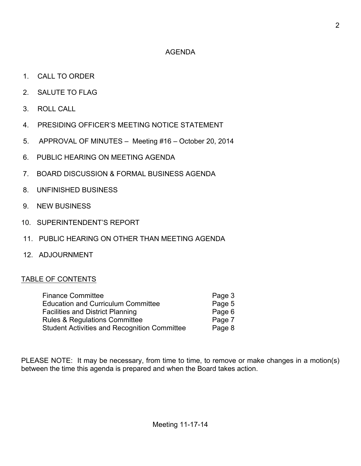## AGENDA

- 1. CALL TO ORDER
- 2. SALUTE TO FLAG
- 3. ROLL CALL
- 4. PRESIDING OFFICER'S MEETING NOTICE STATEMENT
- 5. APPROVAL OF MINUTES Meeting #16 October 20, 2014
- 6. PUBLIC HEARING ON MEETING AGENDA
- 7. BOARD DISCUSSION & FORMAL BUSINESS AGENDA
- 8. UNFINISHED BUSINESS
- 9. NEW BUSINESS
- 10. SUPERINTENDENT'S REPORT
- 11. PUBLIC HEARING ON OTHER THAN MEETING AGENDA
- 12. ADJOURNMENT

### TABLE OF CONTENTS

| <b>Finance Committee</b>                            | Page 3 |
|-----------------------------------------------------|--------|
| <b>Education and Curriculum Committee</b>           | Page 5 |
| <b>Facilities and District Planning</b>             | Page 6 |
| <b>Rules &amp; Regulations Committee</b>            | Page 7 |
| <b>Student Activities and Recognition Committee</b> | Page 8 |
|                                                     |        |

PLEASE NOTE: It may be necessary, from time to time, to remove or make changes in a motion(s) between the time this agenda is prepared and when the Board takes action.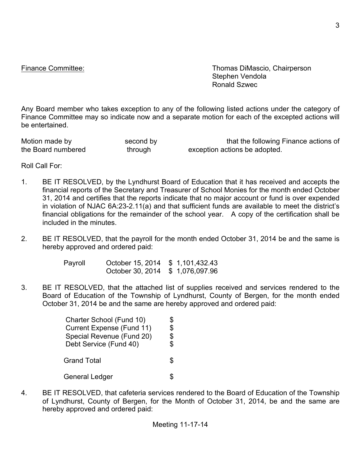Finance Committee: Thomas DiMascio, Chairperson Stephen Vendola Ronald Szwec

Any Board member who takes exception to any of the following listed actions under the category of Finance Committee may so indicate now and a separate motion for each of the excepted actions will be entertained.

| Motion made by     | second by | that the following Finance actions of |
|--------------------|-----------|---------------------------------------|
| the Board numbered | through   | exception actions be adopted.         |

Roll Call For:

- 1. BE IT RESOLVED, by the Lyndhurst Board of Education that it has received and accepts the financial reports of the Secretary and Treasurer of School Monies for the month ended October 31, 2014 and certifies that the reports indicate that no major account or fund is over expended in violation of NJAC 6A:23-2.11(a) and that sufficient funds are available to meet the district's financial obligations for the remainder of the school year. A copy of the certification shall be included in the minutes.
- 2. BE IT RESOLVED, that the payroll for the month ended October 31, 2014 be and the same is hereby approved and ordered paid:

| Payroll | October 15, 2014 \$ 1,101,432.43 |  |
|---------|----------------------------------|--|
|         | October 30, 2014 \$ 1,076,097.96 |  |

3. BE IT RESOLVED, that the attached list of supplies received and services rendered to the Board of Education of the Township of Lyndhurst, County of Bergen, for the month ended October 31, 2014 be and the same are hereby approved and ordered paid:

| Charter School (Fund 10)  | \$ |
|---------------------------|----|
| Current Expense (Fund 11) | \$ |
| Special Revenue (Fund 20) | \$ |
| Debt Service (Fund 40)    | \$ |
|                           |    |
| <b>Grand Total</b>        | S  |
|                           |    |
| General Ledger            |    |

4. BE IT RESOLVED, that cafeteria services rendered to the Board of Education of the Township of Lyndhurst, County of Bergen, for the Month of October 31, 2014, be and the same are hereby approved and ordered paid: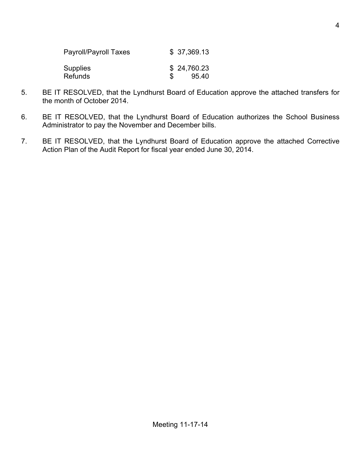| Payroll/Payroll Taxes | \$37,369.13 |
|-----------------------|-------------|
| Supplies              | \$24,760.23 |
| Refunds               | 95.40       |

- 5. BE IT RESOLVED, that the Lyndhurst Board of Education approve the attached transfers for the month of October 2014.
- 6. BE IT RESOLVED, that the Lyndhurst Board of Education authorizes the School Business Administrator to pay the November and December bills.
- 7. BE IT RESOLVED, that the Lyndhurst Board of Education approve the attached Corrective Action Plan of the Audit Report for fiscal year ended June 30, 2014.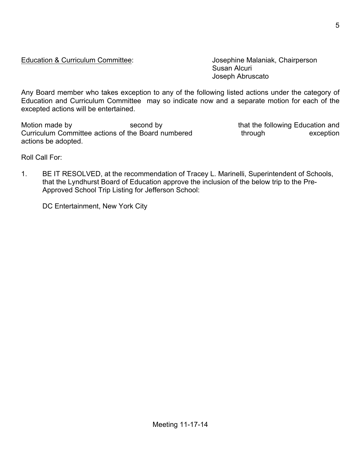Education and Curriculum Committee may so indicate now and a separate motion for each of the excepted actions will be entertained.

Susan Alcuri

Joseph Abruscato

Motion made by second by second by that the following Education and Curriculum Committee actions of the Board numbered through through exception actions be adopted.

Roll Call For:

1. BE IT RESOLVED, at the recommendation of Tracey L. Marinelli, Superintendent of Schools, that the Lyndhurst Board of Education approve the inclusion of the below trip to the Pre-Approved School Trip Listing for Jefferson School:

Education & Curriculum Committee: Josephine Malaniak, Chairperson

Any Board member who takes exception to any of the following listed actions under the category of

DC Entertainment, New York City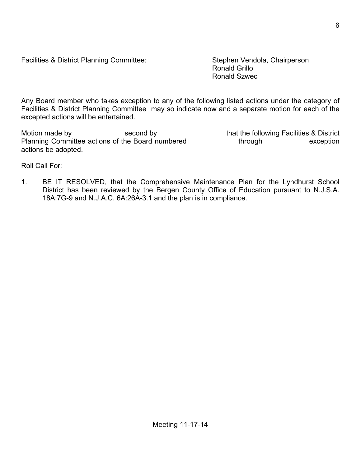## Facilities & District Planning Committee: Stephen Vendola, Chairperson

Ronald Grillo Ronald Szwec

Any Board member who takes exception to any of the following listed actions under the category of Facilities & District Planning Committee may so indicate now and a separate motion for each of the excepted actions will be entertained.

Motion made by second by second by that the following Facilities & District Planning Committee actions of the Board numbered through through exception actions be adopted.

Roll Call For:

1. BE IT RESOLVED, that the Comprehensive Maintenance Plan for the Lyndhurst School District has been reviewed by the Bergen County Office of Education pursuant to N.J.S.A. 18A:7G-9 and N.J.A.C. 6A:26A-3.1 and the plan is in compliance.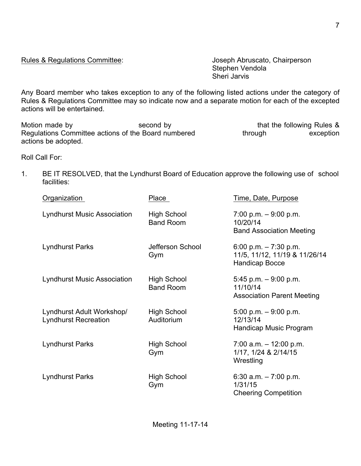Rules & Regulations Committee: Version and Supervisory Joseph Abruscato, Chairperson

Stephen Vendola Sheri Jarvis

Any Board member who takes exception to any of the following listed actions under the category of Rules & Regulations Committee may so indicate now and a separate motion for each of the excepted actions will be entertained.

Motion made by Second by Second by that the following Rules & Regulations Committee actions of the Board numbered through exception actions be adopted.

Roll Call For:

1. BE IT RESOLVED, that the Lyndhurst Board of Education approve the following use of school facilities:

| Organization                                             | Place                                  | Time, Date, Purpose                                                              |
|----------------------------------------------------------|----------------------------------------|----------------------------------------------------------------------------------|
| <b>Lyndhurst Music Association</b>                       | <b>High School</b><br><b>Band Room</b> | $7.00$ p.m. $-9.00$ p.m.<br>10/20/14<br><b>Band Association Meeting</b>          |
| <b>Lyndhurst Parks</b>                                   | Jefferson School<br>Gym                | 6:00 p.m. $-7:30$ p.m.<br>11/5, 11/12, 11/19 & 11/26/14<br><b>Handicap Bocce</b> |
| <b>Lyndhurst Music Association</b>                       | High School<br><b>Band Room</b>        | $5.45$ p.m. $-9.00$ p.m.<br>11/10/14<br><b>Association Parent Meeting</b>        |
| Lyndhurst Adult Workshop/<br><b>Lyndhurst Recreation</b> | <b>High School</b><br>Auditorium       | $5.00$ p.m. $-9.00$ p.m.<br>12/13/14<br>Handicap Music Program                   |
| Lyndhurst Parks                                          | <b>High School</b><br>Gym              | $7:00$ a.m. $-12:00$ p.m.<br>1/17, 1/24 & 2/14/15<br>Wrestling                   |
| <b>Lyndhurst Parks</b>                                   | <b>High School</b><br>Gym              | 6:30 a.m. $-7:00$ p.m.<br>1/31/15<br><b>Cheering Competition</b>                 |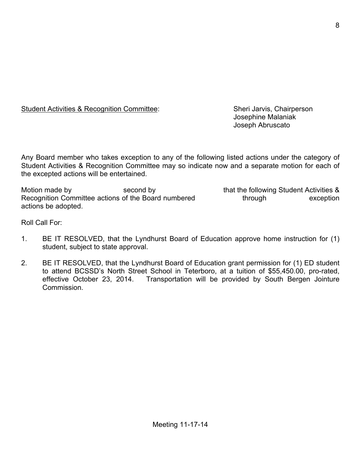Student Activities & Recognition Committee: Sheri Jarvis, Chairperson

Josephine Malaniak Joseph Abruscato

Any Board member who takes exception to any of the following listed actions under the category of Student Activities & Recognition Committee may so indicate now and a separate motion for each of the excepted actions will be entertained.

Motion made by second by second by that the following Student Activities & Recognition Committee actions of the Board numbered through through exception actions be adopted.

Roll Call For:

- 1. BE IT RESOLVED, that the Lyndhurst Board of Education approve home instruction for (1) student, subject to state approval.
- 2. BE IT RESOLVED, that the Lyndhurst Board of Education grant permission for (1) ED student to attend BCSSD's North Street School in Teterboro, at a tuition of \$55,450.00, pro-rated, effective October 23, 2014. Transportation will be provided by South Bergen Jointure Commission.